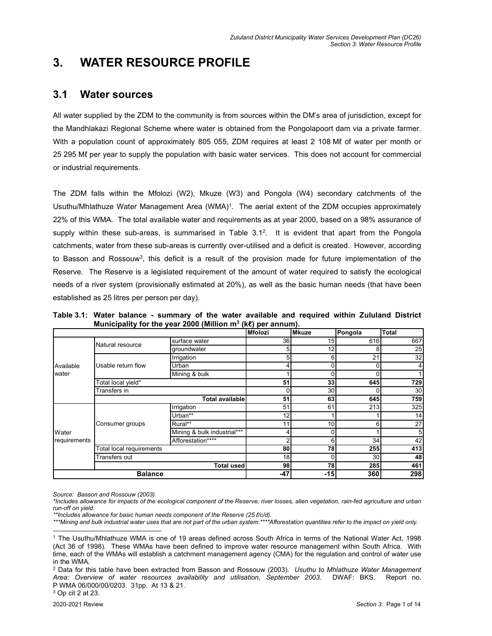# **3. WATER RESOURCE PROFILE**

# **3.1 Water sources**

All water supplied by the ZDM to the community is from sources within the DM's area of jurisdiction, except for the Mandhlakazi Regional Scheme where water is obtained from the Pongolapoort dam via a private farmer. With a population count of approximately 805 055, ZDM requires at least 2 108 Mℓ of water per month or 25 295 Mℓ per year to supply the population with basic water services. This does not account for commercial or industrial requirements.

The ZDM falls within the Mfolozi (W2), Mkuze (W3) and Pongola (W4) secondary catchments of the Usuthu/Mhlathuze Water Management Area (WMA)<sup>1</sup>. The aerial extent of the ZDM occupies approximately 22% of this WMA. The total available water and requirements as at year 2000, based on a 98% assurance of supply within these sub-areas, is summarised in Table 3.1<sup>2</sup> . It is evident that apart from the Pongola catchments, water from these sub-areas is currently over-utilised and a deficit is created. However, according to Basson and Rossouw<sup>3</sup>, this deficit is a result of the provision made for future implementation of the Reserve. The Reserve is a legislated requirement of the amount of water required to satisfy the ecological needs of a river system (provisionally estimated at 20%), as well as the basic human needs (that have been established as 25 litres per person per day).

| Table 3.1: Water balance - summary of the water available and required within Zululand District |  |                                                                |  |  |  |  |
|-------------------------------------------------------------------------------------------------|--|----------------------------------------------------------------|--|--|--|--|
|                                                                                                 |  | Municipality for the year 2000 (Million $m^3$ (ke) per annum). |  |  |  |  |

|                    |                                 |                             | Mfolozi         | <b>IMkuze</b>   | Pongola | <b>Total</b>    |
|--------------------|---------------------------------|-----------------------------|-----------------|-----------------|---------|-----------------|
| Available<br>water | Natural resource                | surface water               | 36              | 15 <sup>1</sup> | 616     | 667             |
|                    |                                 | groundwater                 | 51              | 12              | 8       | 25              |
|                    |                                 | Irrigation                  |                 | $6 \mid$        | 21      | 32              |
|                    | Usable return flow              | Urban                       |                 | $\Omega$        |         | 4               |
|                    |                                 | Mining & bulk               |                 | 0               |         |                 |
|                    | Total local yield*              |                             | 51              | 33              | 645     | 729             |
|                    | Transfers in                    |                             | 30 <sub>l</sub> |                 | 30      |                 |
|                    | <b>Total available</b>          |                             | 51              | 63              | 645     | 759             |
|                    | Consumer groups                 | Irrigation                  | 51              | 61              | 213     | 325             |
|                    |                                 | Urban**                     | 12              |                 |         | 14              |
|                    |                                 | Rural**                     | 11              | 10 <sup>1</sup> | 6       | $\overline{27}$ |
| Water              |                                 | Mining & bulk industrial*** |                 | $\Omega$        |         | 5               |
| requirements       |                                 | Afforestation****           |                 | $6 \mid$        | 34      | 42              |
|                    | <b>Total local requirements</b> |                             | 80              | 78              | 255     | 413             |
|                    | Transfers out                   | 18                          | $\Omega$        | 30              | 48      |                 |
|                    |                                 | <b>Total used</b>           | 98              | 78              | 285     | 461             |
| <b>Balance</b>     |                                 |                             | -47             | $-15$           | 360     | 298             |

*Source: Basson and Rossouw (2003).* 

*<sup>\*</sup>Includes allowance for impacts of the ecological component of the Reserve, river losses, alien vegetation, rain-fed agriculture and urban run-off on yield.* 

*<sup>\*\*</sup>Includes allowance for basic human needs component of the Reserve (25 ℓ/c/d).* 

*<sup>\*\*\*</sup>Mining and bulk industrial water uses that are not part of the urban system.\*\*\*\*Afforestation quantities refer to the impact on yield only.* 

<sup>1</sup> The Usuthu/Mhlathuze WMA is one of 19 areas defined across South Africa in terms of the National Water Act, 1998 (Act 36 of 1998). These WMAs have been defined to improve water resource management within South Africa. With time, each of the WMAs will establish a catchment management agency (CMA) for the regulation and control of water use in the WMA.

<sup>2</sup> Data for this table have been extracted from Basson and Rossouw (2003). *Usuthu to Mhlathuze Water Management Area: Overview of water resources availability and utilisation, September 2003*. DWAF: BKS. Report no. P WMA 06/000/00/0203. 31pp. At 13 & 21.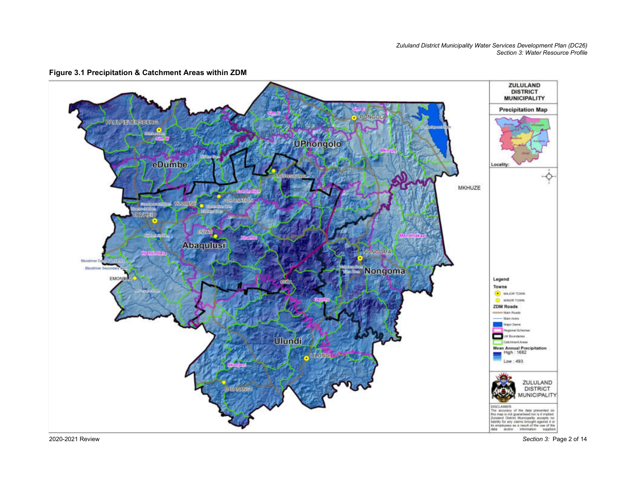*Zululand District Municipality Water Services Development Plan (DC26) Section 3: Water Resource Profile* 



**Figure 3.1 Precipitation & Catchment Areas within ZDM**

2020-2021 Review

*Section 3:* Page 2 of 14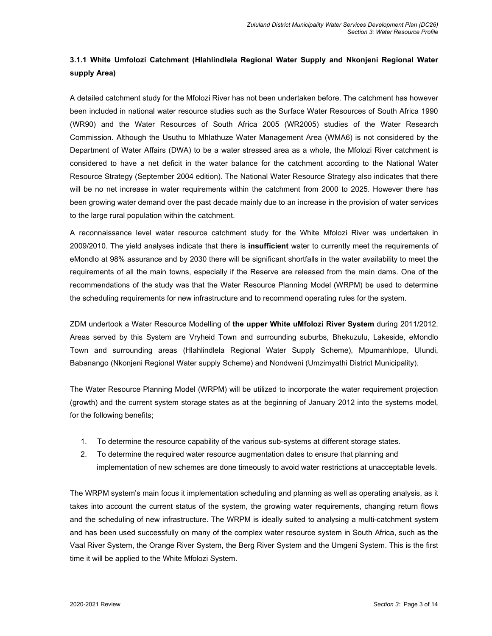# **3.1.1 White Umfolozi Catchment (Hlahlindlela Regional Water Supply and Nkonjeni Regional Water supply Area)**

A detailed catchment study for the Mfolozi River has not been undertaken before. The catchment has however been included in national water resource studies such as the Surface Water Resources of South Africa 1990 (WR90) and the Water Resources of South Africa 2005 (WR2005) studies of the Water Research Commission. Although the Usuthu to Mhlathuze Water Management Area (WMA6) is not considered by the Department of Water Affairs (DWA) to be a water stressed area as a whole, the Mfolozi River catchment is considered to have a net deficit in the water balance for the catchment according to the National Water Resource Strategy (September 2004 edition). The National Water Resource Strategy also indicates that there will be no net increase in water requirements within the catchment from 2000 to 2025. However there has been growing water demand over the past decade mainly due to an increase in the provision of water services to the large rural population within the catchment.

A reconnaissance level water resource catchment study for the White Mfolozi River was undertaken in 2009/2010. The yield analyses indicate that there is **insufficient** water to currently meet the requirements of eMondlo at 98% assurance and by 2030 there will be significant shortfalls in the water availability to meet the requirements of all the main towns, especially if the Reserve are released from the main dams. One of the recommendations of the study was that the Water Resource Planning Model (WRPM) be used to determine the scheduling requirements for new infrastructure and to recommend operating rules for the system.

ZDM undertook a Water Resource Modelling of **the upper White uMfolozi River System** during 2011/2012. Areas served by this System are Vryheid Town and surrounding suburbs, Bhekuzulu, Lakeside, eMondlo Town and surrounding areas (Hlahlindlela Regional Water Supply Scheme), Mpumanhlope, Ulundi, Babanango (Nkonjeni Regional Water supply Scheme) and Nondweni (Umzimyathi District Municipality).

The Water Resource Planning Model (WRPM) will be utilized to incorporate the water requirement projection (growth) and the current system storage states as at the beginning of January 2012 into the systems model, for the following benefits;

- 1. To determine the resource capability of the various sub-systems at different storage states.
- 2. To determine the required water resource augmentation dates to ensure that planning and implementation of new schemes are done timeously to avoid water restrictions at unacceptable levels.

The WRPM system's main focus it implementation scheduling and planning as well as operating analysis, as it takes into account the current status of the system, the growing water requirements, changing return flows and the scheduling of new infrastructure. The WRPM is ideally suited to analysing a multi-catchment system and has been used successfully on many of the complex water resource system in South Africa, such as the Vaal River System, the Orange River System, the Berg River System and the Umgeni System. This is the first time it will be applied to the White Mfolozi System.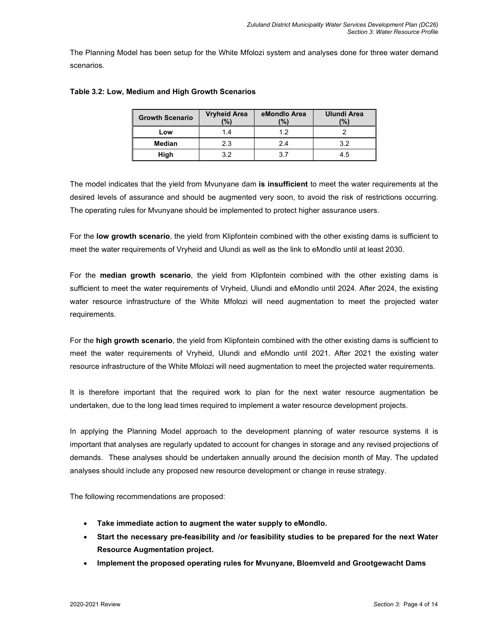The Planning Model has been setup for the White Mfolozi system and analyses done for three water demand scenarios.

| <b>Growth Scenario</b> | <b>Vryheid Area</b><br>$\frac{10}{6}$ | eMondlo Area<br>(%) | <b>Ulundi Area</b><br>(%) |  |
|------------------------|---------------------------------------|---------------------|---------------------------|--|
| Low                    |                                       | 12                  |                           |  |
| <b>Median</b>          | 23                                    | 24                  | 32                        |  |
| High                   |                                       | 3 7                 | 45                        |  |

#### **Table 3.2: Low, Medium and High Growth Scenarios**

The model indicates that the yield from Mvunyane dam **is insufficient** to meet the water requirements at the desired levels of assurance and should be augmented very soon, to avoid the risk of restrictions occurring. The operating rules for Mvunyane should be implemented to protect higher assurance users.

For the **low growth scenario**, the yield from Klipfontein combined with the other existing dams is sufficient to meet the water requirements of Vryheid and Ulundi as well as the link to eMondlo until at least 2030.

For the **median growth scenario**, the yield from Klipfontein combined with the other existing dams is sufficient to meet the water requirements of Vryheid, Ulundi and eMondlo until 2024. After 2024, the existing water resource infrastructure of the White Mfolozi will need augmentation to meet the projected water requirements.

For the **high growth scenario**, the yield from Klipfontein combined with the other existing dams is sufficient to meet the water requirements of Vryheid, Ulundi and eMondlo until 2021. After 2021 the existing water resource infrastructure of the White Mfolozi will need augmentation to meet the projected water requirements.

It is therefore important that the required work to plan for the next water resource augmentation be undertaken, due to the long lead times required to implement a water resource development projects.

In applying the Planning Model approach to the development planning of water resource systems it is important that analyses are regularly updated to account for changes in storage and any revised projections of demands. These analyses should be undertaken annually around the decision month of May. The updated analyses should include any proposed new resource development or change in reuse strategy.

The following recommendations are proposed:

- **Take immediate action to augment the water supply to eMondlo.**
- **Start the necessary pre-feasibility and /or feasibility studies to be prepared for the next Water Resource Augmentation project.**
- **Implement the proposed operating rules for Mvunyane, Bloemveld and Grootgewacht Dams**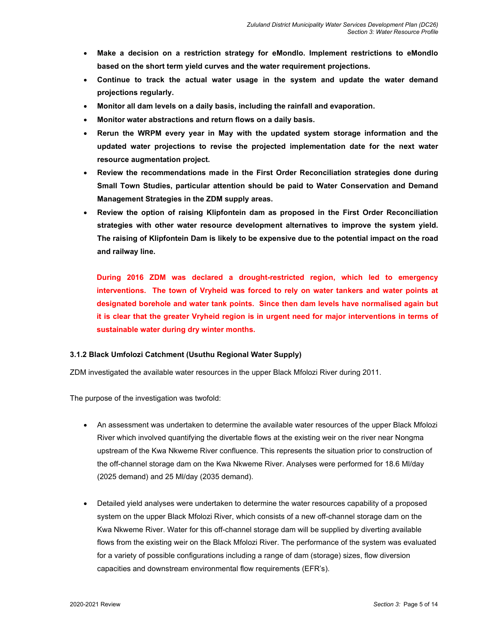- **Make a decision on a restriction strategy for eMondlo. Implement restrictions to eMondlo based on the short term yield curves and the water requirement projections.**
- **Continue to track the actual water usage in the system and update the water demand projections regularly.**
- **Monitor all dam levels on a daily basis, including the rainfall and evaporation.**
- **Monitor water abstractions and return flows on a daily basis.**
- **Rerun the WRPM every year in May with the updated system storage information and the updated water projections to revise the projected implementation date for the next water resource augmentation project.**
- **Review the recommendations made in the First Order Reconciliation strategies done during Small Town Studies, particular attention should be paid to Water Conservation and Demand Management Strategies in the ZDM supply areas.**
- **Review the option of raising Klipfontein dam as proposed in the First Order Reconciliation strategies with other water resource development alternatives to improve the system yield. The raising of Klipfontein Dam is likely to be expensive due to the potential impact on the road and railway line.**

**During 2016 ZDM was declared a drought-restricted region, which led to emergency interventions. The town of Vryheid was forced to rely on water tankers and water points at designated borehole and water tank points. Since then dam levels have normalised again but it is clear that the greater Vryheid region is in urgent need for major interventions in terms of sustainable water during dry winter months.** 

## **3.1.2 Black Umfolozi Catchment (Usuthu Regional Water Supply)**

ZDM investigated the available water resources in the upper Black Mfolozi River during 2011.

The purpose of the investigation was twofold:

- An assessment was undertaken to determine the available water resources of the upper Black Mfolozi River which involved quantifying the divertable flows at the existing weir on the river near Nongma upstream of the Kwa Nkweme River confluence. This represents the situation prior to construction of the off-channel storage dam on the Kwa Nkweme River. Analyses were performed for 18.6 Ml/day (2025 demand) and 25 Ml/day (2035 demand).
- Detailed yield analyses were undertaken to determine the water resources capability of a proposed system on the upper Black Mfolozi River, which consists of a new off-channel storage dam on the Kwa Nkweme River. Water for this off-channel storage dam will be supplied by diverting available flows from the existing weir on the Black Mfolozi River. The performance of the system was evaluated for a variety of possible configurations including a range of dam (storage) sizes, flow diversion capacities and downstream environmental flow requirements (EFR's).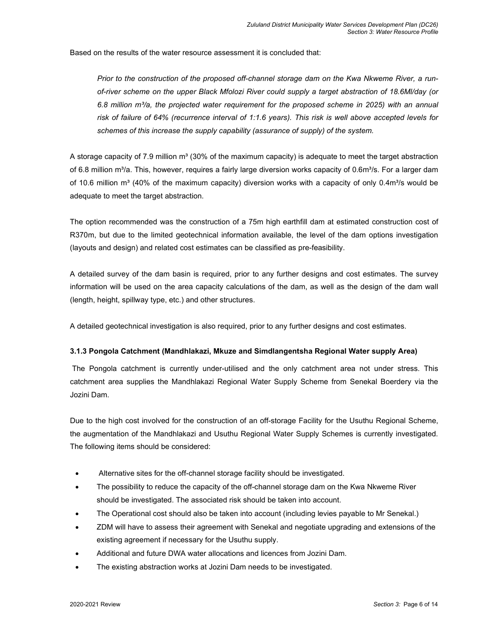Based on the results of the water resource assessment it is concluded that:

*Prior to the construction of the proposed off-channel storage dam on the Kwa Nkweme River, a runof-river scheme on the upper Black Mfolozi River could supply a target abstraction of 18.6Ml/day (or 6.8 million m³/a, the projected water requirement for the proposed scheme in 2025) with an annual risk of failure of 64% (recurrence interval of 1:1.6 years). This risk is well above accepted levels for schemes of this increase the supply capability (assurance of supply) of the system.* 

A storage capacity of 7.9 million  $m<sup>3</sup>$  (30% of the maximum capacity) is adequate to meet the target abstraction of 6.8 million m<sup>3</sup>/a. This, however, requires a fairly large diversion works capacity of 0.6m<sup>3</sup>/s. For a larger dam of 10.6 million m<sup>3</sup> (40% of the maximum capacity) diversion works with a capacity of only 0.4m<sup>3</sup>/s would be adequate to meet the target abstraction.

The option recommended was the construction of a 75m high earthfill dam at estimated construction cost of R370m, but due to the limited geotechnical information available, the level of the dam options investigation (layouts and design) and related cost estimates can be classified as pre-feasibility.

A detailed survey of the dam basin is required, prior to any further designs and cost estimates. The survey information will be used on the area capacity calculations of the dam, as well as the design of the dam wall (length, height, spillway type, etc.) and other structures.

A detailed geotechnical investigation is also required, prior to any further designs and cost estimates.

#### **3.1.3 Pongola Catchment (Mandhlakazi, Mkuze and Simdlangentsha Regional Water supply Area)**

 The Pongola catchment is currently under-utilised and the only catchment area not under stress. This catchment area supplies the Mandhlakazi Regional Water Supply Scheme from Senekal Boerdery via the Jozini Dam.

Due to the high cost involved for the construction of an off-storage Facility for the Usuthu Regional Scheme, the augmentation of the Mandhlakazi and Usuthu Regional Water Supply Schemes is currently investigated. The following items should be considered:

- Alternative sites for the off-channel storage facility should be investigated.
- The possibility to reduce the capacity of the off-channel storage dam on the Kwa Nkweme River should be investigated. The associated risk should be taken into account.
- The Operational cost should also be taken into account (including levies payable to Mr Senekal.)
- ZDM will have to assess their agreement with Senekal and negotiate upgrading and extensions of the existing agreement if necessary for the Usuthu supply.
- Additional and future DWA water allocations and licences from Jozini Dam.
- The existing abstraction works at Jozini Dam needs to be investigated.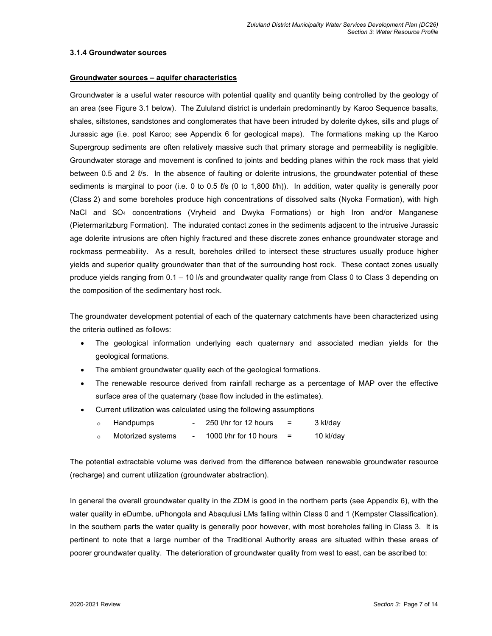#### **3.1.4 Groundwater sources**

#### **Groundwater sources – aquifer characteristics**

Groundwater is a useful water resource with potential quality and quantity being controlled by the geology of an area (see Figure 3.1 below). The Zululand district is underlain predominantly by Karoo Sequence basalts, shales, siltstones, sandstones and conglomerates that have been intruded by dolerite dykes, sills and plugs of Jurassic age (i.e. post Karoo; see Appendix 6 for geological maps). The formations making up the Karoo Supergroup sediments are often relatively massive such that primary storage and permeability is negligible. Groundwater storage and movement is confined to joints and bedding planes within the rock mass that yield between 0.5 and 2  $\ell$ /s. In the absence of faulting or dolerite intrusions, the groundwater potential of these sediments is marginal to poor (i.e. 0 to 0.5  $\ell$ s (0 to 1,800  $\ell$ /h)). In addition, water quality is generally poor (Class 2) and some boreholes produce high concentrations of dissolved salts (Nyoka Formation), with high NaCl and SO4 concentrations (Vryheid and Dwyka Formations) or high Iron and/or Manganese (Pietermaritzburg Formation). The indurated contact zones in the sediments adjacent to the intrusive Jurassic age dolerite intrusions are often highly fractured and these discrete zones enhance groundwater storage and rockmass permeability. As a result, boreholes drilled to intersect these structures usually produce higher yields and superior quality groundwater than that of the surrounding host rock. These contact zones usually produce yields ranging from 0.1 – 10 l/s and groundwater quality range from Class 0 to Class 3 depending on the composition of the sedimentary host rock.

The groundwater development potential of each of the quaternary catchments have been characterized using the criteria outlined as follows:

- The geological information underlying each quaternary and associated median yields for the geological formations.
- The ambient groundwater quality each of the geological formations.
- The renewable resource derived from rainfall recharge as a percentage of MAP over the effective surface area of the quaternary (base flow included in the estimates).
- Current utilization was calculated using the following assumptions
	- $\circ$  Handpumps 250 l/hr for 12 hours = 3 kl/day
	- $\circ$  Motorized systems 1000 l/hr for 10 hours = 10 kl/day

The potential extractable volume was derived from the difference between renewable groundwater resource (recharge) and current utilization (groundwater abstraction).

In general the overall groundwater quality in the ZDM is good in the northern parts (see Appendix 6), with the water quality in eDumbe, uPhongola and Abaqulusi LMs falling within Class 0 and 1 (Kempster Classification). In the southern parts the water quality is generally poor however, with most boreholes falling in Class 3. It is pertinent to note that a large number of the Traditional Authority areas are situated within these areas of poorer groundwater quality. The deterioration of groundwater quality from west to east, can be ascribed to: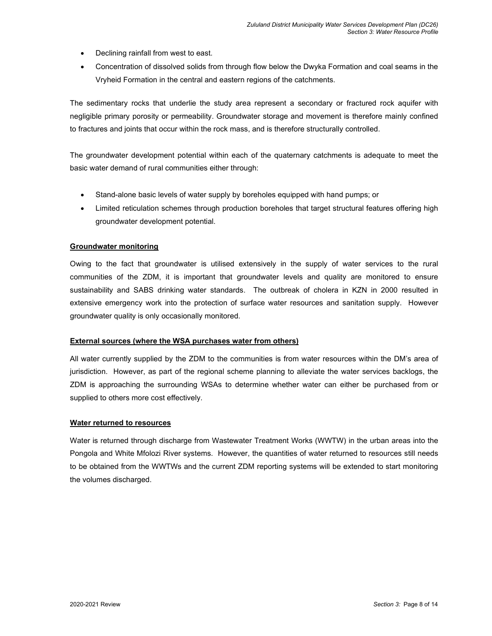- Declining rainfall from west to east.
- Concentration of dissolved solids from through flow below the Dwyka Formation and coal seams in the Vryheid Formation in the central and eastern regions of the catchments.

The sedimentary rocks that underlie the study area represent a secondary or fractured rock aquifer with negligible primary porosity or permeability. Groundwater storage and movement is therefore mainly confined to fractures and joints that occur within the rock mass, and is therefore structurally controlled.

The groundwater development potential within each of the quaternary catchments is adequate to meet the basic water demand of rural communities either through:

- Stand-alone basic levels of water supply by boreholes equipped with hand pumps; or
- Limited reticulation schemes through production boreholes that target structural features offering high groundwater development potential.

## **Groundwater monitoring**

Owing to the fact that groundwater is utilised extensively in the supply of water services to the rural communities of the ZDM, it is important that groundwater levels and quality are monitored to ensure sustainability and SABS drinking water standards. The outbreak of cholera in KZN in 2000 resulted in extensive emergency work into the protection of surface water resources and sanitation supply. However groundwater quality is only occasionally monitored.

#### **External sources (where the WSA purchases water from others)**

All water currently supplied by the ZDM to the communities is from water resources within the DM's area of jurisdiction. However, as part of the regional scheme planning to alleviate the water services backlogs, the ZDM is approaching the surrounding WSAs to determine whether water can either be purchased from or supplied to others more cost effectively.

#### **Water returned to resources**

Water is returned through discharge from Wastewater Treatment Works (WWTW) in the urban areas into the Pongola and White Mfolozi River systems. However, the quantities of water returned to resources still needs to be obtained from the WWTWs and the current ZDM reporting systems will be extended to start monitoring the volumes discharged.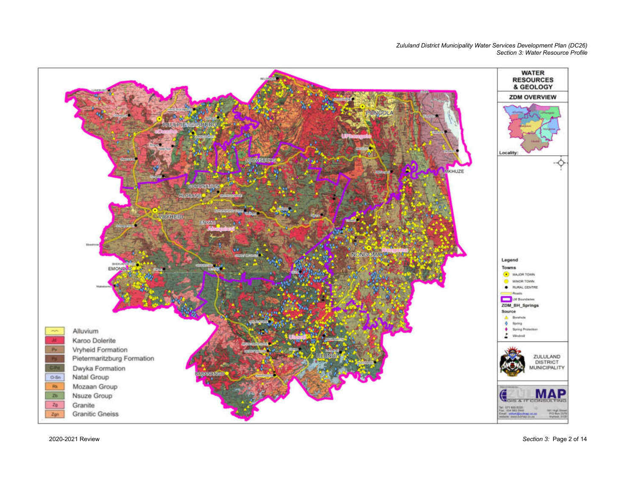*Zululand District Municipality Water Services Development Plan (DC26) Section 3: Water Resource Profile* 



2020-2021 Review

*Section 3:* Page 2 of 14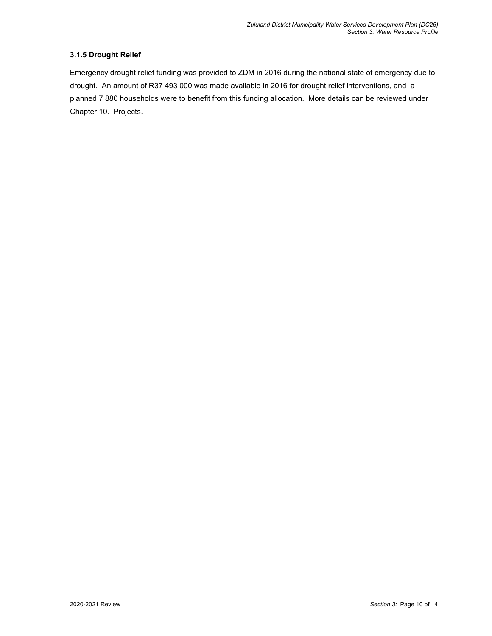## **3.1.5 Drought Relief**

Emergency drought relief funding was provided to ZDM in 2016 during the national state of emergency due to drought. An amount of R37 493 000 was made available in 2016 for drought relief interventions, and a planned 7 880 households were to benefit from this funding allocation. More details can be reviewed under Chapter 10. Projects.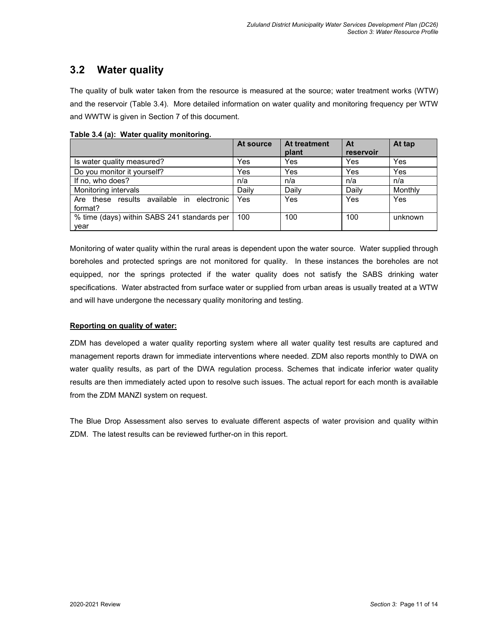# **3.2 Water quality**

The quality of bulk water taken from the resource is measured at the source; water treatment works (WTW) and the reservoir (Table 3.4). More detailed information on water quality and monitoring frequency per WTW and WWTW is given in Section 7 of this document.

|                                                      | At source | At treatment<br>plant | At<br>reservoir | At tap  |
|------------------------------------------------------|-----------|-----------------------|-----------------|---------|
| Is water quality measured?                           | Yes       | Yes                   | Yes             | Yes     |
| Do you monitor it yourself?                          | Yes       | Yes                   | Yes             | Yes     |
| If no, who does?                                     | n/a       | n/a                   | n/a             | n/a     |
| Monitoring intervals                                 | Daily     | Daily                 | Daily           | Monthly |
| Are these results available in electronic<br>format? | Yes       | Yes                   | Yes             | Yes     |
| % time (days) within SABS 241 standards per<br>year  | 100       | 100                   | 100             | unknown |

**Table 3.4 (a): Water quality monitoring.** 

Monitoring of water quality within the rural areas is dependent upon the water source. Water supplied through boreholes and protected springs are not monitored for quality. In these instances the boreholes are not equipped, nor the springs protected if the water quality does not satisfy the SABS drinking water specifications. Water abstracted from surface water or supplied from urban areas is usually treated at a WTW and will have undergone the necessary quality monitoring and testing.

## **Reporting on quality of water:**

ZDM has developed a water quality reporting system where all water quality test results are captured and management reports drawn for immediate interventions where needed. ZDM also reports monthly to DWA on water quality results, as part of the DWA regulation process. Schemes that indicate inferior water quality results are then immediately acted upon to resolve such issues. The actual report for each month is available from the ZDM MANZI system on request.

The Blue Drop Assessment also serves to evaluate different aspects of water provision and quality within ZDM. The latest results can be reviewed further-on in this report.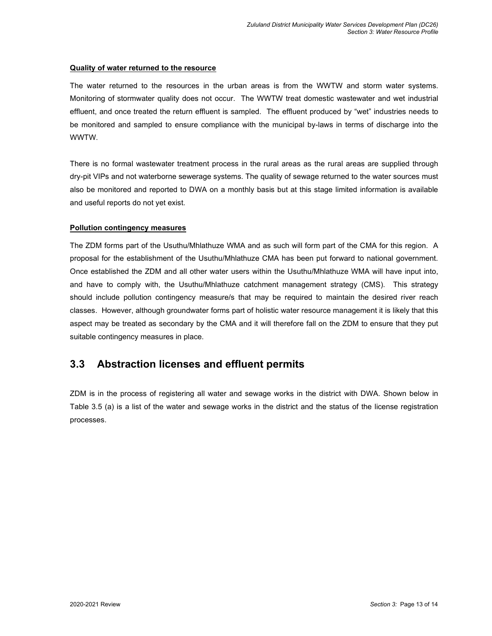#### **Quality of water returned to the resource**

The water returned to the resources in the urban areas is from the WWTW and storm water systems. Monitoring of stormwater quality does not occur. The WWTW treat domestic wastewater and wet industrial effluent, and once treated the return effluent is sampled. The effluent produced by "wet" industries needs to be monitored and sampled to ensure compliance with the municipal by-laws in terms of discharge into the WWTW.

There is no formal wastewater treatment process in the rural areas as the rural areas are supplied through dry-pit VIPs and not waterborne sewerage systems. The quality of sewage returned to the water sources must also be monitored and reported to DWA on a monthly basis but at this stage limited information is available and useful reports do not yet exist.

#### **Pollution contingency measures**

The ZDM forms part of the Usuthu/Mhlathuze WMA and as such will form part of the CMA for this region. A proposal for the establishment of the Usuthu/Mhlathuze CMA has been put forward to national government. Once established the ZDM and all other water users within the Usuthu/Mhlathuze WMA will have input into, and have to comply with, the Usuthu/Mhlathuze catchment management strategy (CMS). This strategy should include pollution contingency measure/s that may be required to maintain the desired river reach classes. However, although groundwater forms part of holistic water resource management it is likely that this aspect may be treated as secondary by the CMA and it will therefore fall on the ZDM to ensure that they put suitable contingency measures in place.

# **3.3 Abstraction licenses and effluent permits**

ZDM is in the process of registering all water and sewage works in the district with DWA. Shown below in Table 3.5 (a) is a list of the water and sewage works in the district and the status of the license registration processes.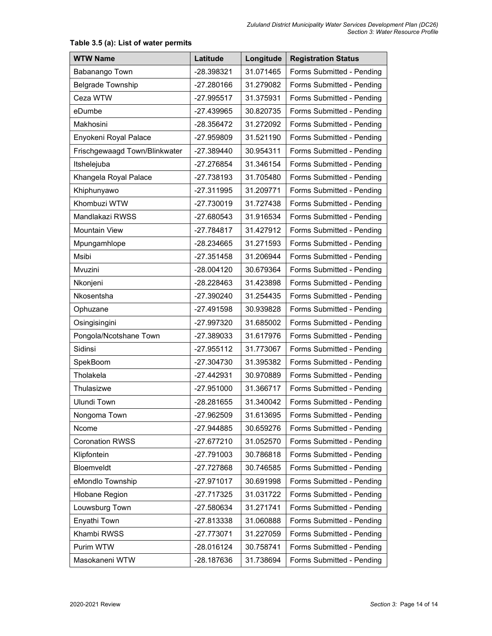| <b>WTW Name</b>               | Latitude     | Longitude | <b>Registration Status</b> |
|-------------------------------|--------------|-----------|----------------------------|
| Babanango Town                | -28.398321   | 31.071465 | Forms Submitted - Pending  |
| <b>Belgrade Township</b>      | -27.280166   | 31.279082 | Forms Submitted - Pending  |
| Ceza WTW                      | -27.995517   | 31.375931 | Forms Submitted - Pending  |
| eDumbe                        | -27.439965   | 30.820735 | Forms Submitted - Pending  |
| Makhosini                     | -28.356472   | 31.272092 | Forms Submitted - Pending  |
| Enyokeni Royal Palace         | -27.959809   | 31.521190 | Forms Submitted - Pending  |
| Frischgewaagd Town/Blinkwater | -27.389440   | 30.954311 | Forms Submitted - Pending  |
| Itshelejuba                   | -27.276854   | 31.346154 | Forms Submitted - Pending  |
| Khangela Royal Palace         | -27.738193   | 31.705480 | Forms Submitted - Pending  |
| Khiphunyawo                   | -27.311995   | 31.209771 | Forms Submitted - Pending  |
| Khombuzi WTW                  | -27.730019   | 31.727438 | Forms Submitted - Pending  |
| Mandlakazi RWSS               | $-27.680543$ | 31.916534 | Forms Submitted - Pending  |
| <b>Mountain View</b>          | -27.784817   | 31.427912 | Forms Submitted - Pending  |
| Mpungamhlope                  | -28.234665   | 31.271593 | Forms Submitted - Pending  |
| Msibi                         | $-27.351458$ | 31.206944 | Forms Submitted - Pending  |
| Mvuzini                       | -28.004120   | 30.679364 | Forms Submitted - Pending  |
| Nkonjeni                      | -28.228463   | 31.423898 | Forms Submitted - Pending  |
| Nkosentsha                    | -27.390240   | 31.254435 | Forms Submitted - Pending  |
| Ophuzane                      | -27.491598   | 30.939828 | Forms Submitted - Pending  |
| Osingisingini                 | -27.997320   | 31.685002 | Forms Submitted - Pending  |
| Pongola/Ncotshane Town        | -27.389033   | 31.617976 | Forms Submitted - Pending  |
| Sidinsi                       | $-27.955112$ | 31.773067 | Forms Submitted - Pending  |
| SpekBoom                      | -27.304730   | 31.395382 | Forms Submitted - Pending  |
| Tholakela                     | -27.442931   | 30.970889 | Forms Submitted - Pending  |
| Thulasizwe                    | -27.951000   | 31.366717 | Forms Submitted - Pending  |
| <b>Ulundi Town</b>            | -28.281655   | 31.340042 | Forms Submitted - Pending  |
| Nongoma Town                  | -27.962509   | 31.613695 | Forms Submitted - Pending  |
| Ncome                         | -27.944885   | 30.659276 | Forms Submitted - Pending  |
| <b>Coronation RWSS</b>        | -27.677210   | 31.052570 | Forms Submitted - Pending  |
| Klipfontein                   | -27.791003   | 30.786818 | Forms Submitted - Pending  |
| Bloemveldt                    | -27.727868   | 30.746585 | Forms Submitted - Pending  |
| eMondlo Township              | -27.971017   | 30.691998 | Forms Submitted - Pending  |
| <b>Hlobane Region</b>         | -27.717325   | 31.031722 | Forms Submitted - Pending  |
| Louwsburg Town                | -27.580634   | 31.271741 | Forms Submitted - Pending  |
| Enyathi Town                  | -27.813338   | 31.060888 | Forms Submitted - Pending  |
| Khambi RWSS                   | -27.773071   | 31.227059 | Forms Submitted - Pending  |
| Purim WTW                     | -28.016124   | 30.758741 | Forms Submitted - Pending  |
| Masokaneni WTW                | -28.187636   | 31.738694 | Forms Submitted - Pending  |

# **Table 3.5 (a): List of water permits**